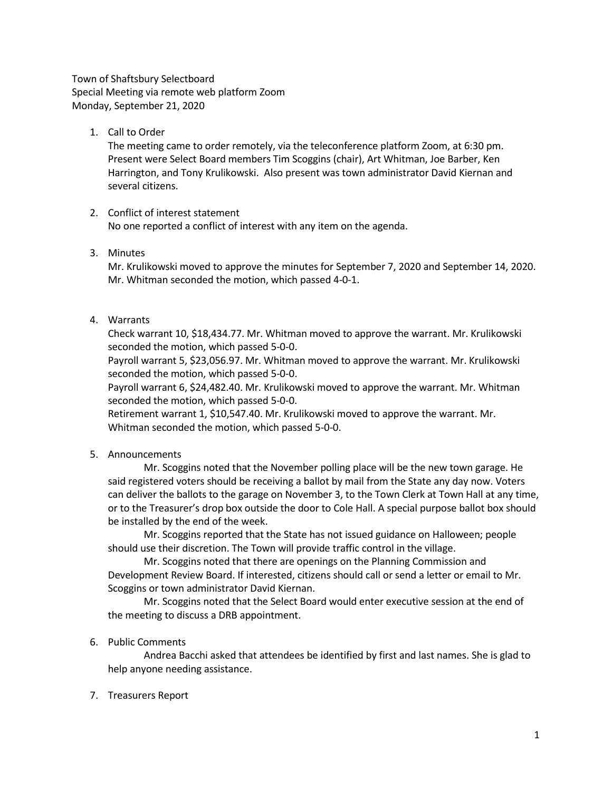Town of Shaftsbury Selectboard Special Meeting via remote web platform Zoom Monday, September 21, 2020

1. Call to Order

The meeting came to order remotely, via the teleconference platform Zoom, at 6:30 pm. Present were Select Board members Tim Scoggins (chair), Art Whitman, Joe Barber, Ken Harrington, and Tony Krulikowski. Also present was town administrator David Kiernan and several citizens.

# 2. Conflict of interest statement

No one reported a conflict of interest with any item on the agenda.

3. Minutes

Mr. Krulikowski moved to approve the minutes for September 7, 2020 and September 14, 2020. Mr. Whitman seconded the motion, which passed 4-0-1.

4. Warrants

Check warrant 10, \$18,434.77. Mr. Whitman moved to approve the warrant. Mr. Krulikowski seconded the motion, which passed 5-0-0.

Payroll warrant 5, \$23,056.97. Mr. Whitman moved to approve the warrant. Mr. Krulikowski seconded the motion, which passed 5-0-0.

Payroll warrant 6, \$24,482.40. Mr. Krulikowski moved to approve the warrant. Mr. Whitman seconded the motion, which passed 5-0-0.

Retirement warrant 1, \$10,547.40. Mr. Krulikowski moved to approve the warrant. Mr. Whitman seconded the motion, which passed 5-0-0.

5. Announcements

Mr. Scoggins noted that the November polling place will be the new town garage. He said registered voters should be receiving a ballot by mail from the State any day now. Voters can deliver the ballots to the garage on November 3, to the Town Clerk at Town Hall at any time, or to the Treasurer's drop box outside the door to Cole Hall. A special purpose ballot box should be installed by the end of the week.

Mr. Scoggins reported that the State has not issued guidance on Halloween; people should use their discretion. The Town will provide traffic control in the village.

Mr. Scoggins noted that there are openings on the Planning Commission and Development Review Board. If interested, citizens should call or send a letter or email to Mr. Scoggins or town administrator David Kiernan.

Mr. Scoggins noted that the Select Board would enter executive session at the end of the meeting to discuss a DRB appointment.

# 6. Public Comments

Andrea Bacchi asked that attendees be identified by first and last names. She is glad to help anyone needing assistance.

7. Treasurers Report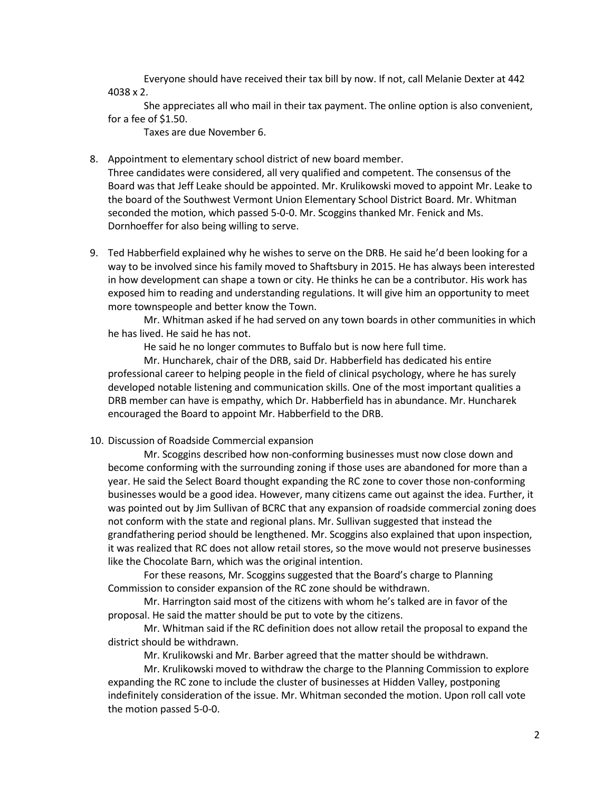Everyone should have received their tax bill by now. If not, call Melanie Dexter at 442 4038 x 2.

She appreciates all who mail in their tax payment. The online option is also convenient, for a fee of \$1.50.

Taxes are due November 6.

- 8. Appointment to elementary school district of new board member. Three candidates were considered, all very qualified and competent. The consensus of the Board was that Jeff Leake should be appointed. Mr. Krulikowski moved to appoint Mr. Leake to the board of the Southwest Vermont Union Elementary School District Board. Mr. Whitman seconded the motion, which passed 5-0-0. Mr. Scoggins thanked Mr. Fenick and Ms. Dornhoeffer for also being willing to serve.
- 9. Ted Habberfield explained why he wishes to serve on the DRB. He said he'd been looking for a way to be involved since his family moved to Shaftsbury in 2015. He has always been interested in how development can shape a town or city. He thinks he can be a contributor. His work has exposed him to reading and understanding regulations. It will give him an opportunity to meet more townspeople and better know the Town.

Mr. Whitman asked if he had served on any town boards in other communities in which he has lived. He said he has not.

He said he no longer commutes to Buffalo but is now here full time.

Mr. Huncharek, chair of the DRB, said Dr. Habberfield has dedicated his entire professional career to helping people in the field of clinical psychology, where he has surely developed notable listening and communication skills. One of the most important qualities a DRB member can have is empathy, which Dr. Habberfield has in abundance. Mr. Huncharek encouraged the Board to appoint Mr. Habberfield to the DRB.

## 10. Discussion of Roadside Commercial expansion

Mr. Scoggins described how non-conforming businesses must now close down and become conforming with the surrounding zoning if those uses are abandoned for more than a year. He said the Select Board thought expanding the RC zone to cover those non-conforming businesses would be a good idea. However, many citizens came out against the idea. Further, it was pointed out by Jim Sullivan of BCRC that any expansion of roadside commercial zoning does not conform with the state and regional plans. Mr. Sullivan suggested that instead the grandfathering period should be lengthened. Mr. Scoggins also explained that upon inspection, it was realized that RC does not allow retail stores, so the move would not preserve businesses like the Chocolate Barn, which was the original intention.

For these reasons, Mr. Scoggins suggested that the Board's charge to Planning Commission to consider expansion of the RC zone should be withdrawn.

Mr. Harrington said most of the citizens with whom he's talked are in favor of the proposal. He said the matter should be put to vote by the citizens.

Mr. Whitman said if the RC definition does not allow retail the proposal to expand the district should be withdrawn.

Mr. Krulikowski and Mr. Barber agreed that the matter should be withdrawn.

Mr. Krulikowski moved to withdraw the charge to the Planning Commission to explore expanding the RC zone to include the cluster of businesses at Hidden Valley, postponing indefinitely consideration of the issue. Mr. Whitman seconded the motion. Upon roll call vote the motion passed 5-0-0.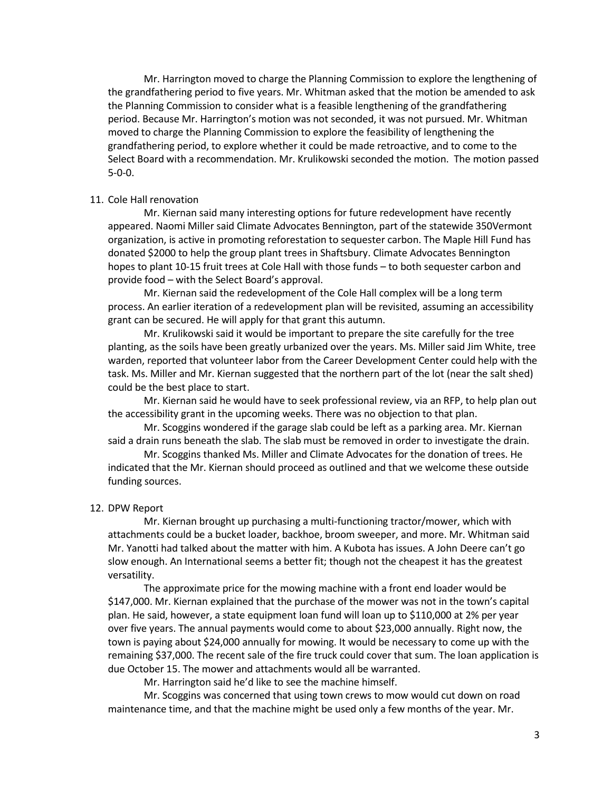Mr. Harrington moved to charge the Planning Commission to explore the lengthening of the grandfathering period to five years. Mr. Whitman asked that the motion be amended to ask the Planning Commission to consider what is a feasible lengthening of the grandfathering period. Because Mr. Harrington's motion was not seconded, it was not pursued. Mr. Whitman moved to charge the Planning Commission to explore the feasibility of lengthening the grandfathering period, to explore whether it could be made retroactive, and to come to the Select Board with a recommendation. Mr. Krulikowski seconded the motion. The motion passed 5-0-0.

### 11. Cole Hall renovation

Mr. Kiernan said many interesting options for future redevelopment have recently appeared. Naomi Miller said Climate Advocates Bennington, part of the statewide 350Vermont organization, is active in promoting reforestation to sequester carbon. The Maple Hill Fund has donated \$2000 to help the group plant trees in Shaftsbury. Climate Advocates Bennington hopes to plant 10-15 fruit trees at Cole Hall with those funds – to both sequester carbon and provide food – with the Select Board's approval.

Mr. Kiernan said the redevelopment of the Cole Hall complex will be a long term process. An earlier iteration of a redevelopment plan will be revisited, assuming an accessibility grant can be secured. He will apply for that grant this autumn.

Mr. Krulikowski said it would be important to prepare the site carefully for the tree planting, as the soils have been greatly urbanized over the years. Ms. Miller said Jim White, tree warden, reported that volunteer labor from the Career Development Center could help with the task. Ms. Miller and Mr. Kiernan suggested that the northern part of the lot (near the salt shed) could be the best place to start.

Mr. Kiernan said he would have to seek professional review, via an RFP, to help plan out the accessibility grant in the upcoming weeks. There was no objection to that plan.

Mr. Scoggins wondered if the garage slab could be left as a parking area. Mr. Kiernan said a drain runs beneath the slab. The slab must be removed in order to investigate the drain.

Mr. Scoggins thanked Ms. Miller and Climate Advocates for the donation of trees. He indicated that the Mr. Kiernan should proceed as outlined and that we welcome these outside funding sources.

#### 12. DPW Report

Mr. Kiernan brought up purchasing a multi-functioning tractor/mower, which with attachments could be a bucket loader, backhoe, broom sweeper, and more. Mr. Whitman said Mr. Yanotti had talked about the matter with him. A Kubota has issues. A John Deere can't go slow enough. An International seems a better fit; though not the cheapest it has the greatest versatility.

The approximate price for the mowing machine with a front end loader would be \$147,000. Mr. Kiernan explained that the purchase of the mower was not in the town's capital plan. He said, however, a state equipment loan fund will loan up to \$110,000 at 2% per year over five years. The annual payments would come to about \$23,000 annually. Right now, the town is paying about \$24,000 annually for mowing. It would be necessary to come up with the remaining \$37,000. The recent sale of the fire truck could cover that sum. The loan application is due October 15. The mower and attachments would all be warranted.

Mr. Harrington said he'd like to see the machine himself.

Mr. Scoggins was concerned that using town crews to mow would cut down on road maintenance time, and that the machine might be used only a few months of the year. Mr.